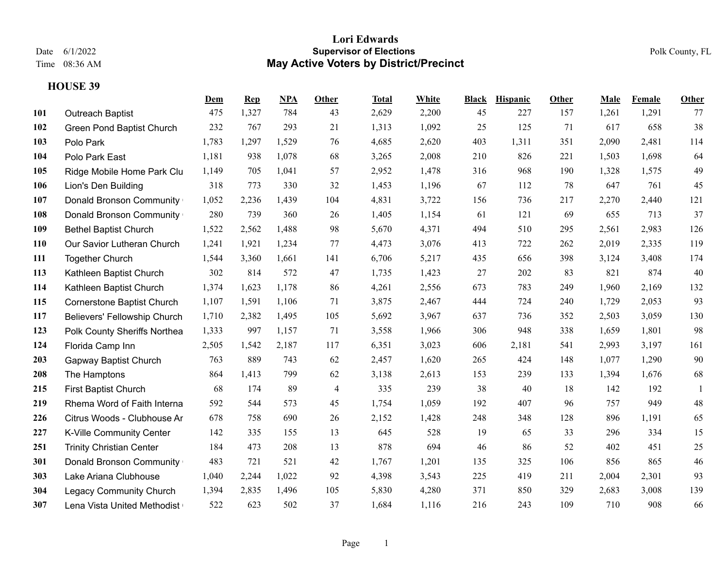|     |                                   | <u>Dem</u> | <b>Rep</b> | NPA   | Other          | Total | White | <b>Black</b> | <b>Hispanic</b> | Other | Male  | Female | <b>Other</b>   |
|-----|-----------------------------------|------------|------------|-------|----------------|-------|-------|--------------|-----------------|-------|-------|--------|----------------|
| 101 | <b>Outreach Baptist</b>           | 475        | 1,327      | 784   | 43             | 2,629 | 2,200 | 45           | 227             | 157   | 1,261 | 1,291  | 77             |
| 102 | <b>Green Pond Baptist Church</b>  | 232        | 767        | 293   | 21             | 1,313 | 1,092 | 25           | 125             | 71    | 617   | 658    | 38             |
| 103 | Polo Park                         | 1,783      | 1,297      | 1,529 | 76             | 4,685 | 2,620 | 403          | 1,311           | 351   | 2,090 | 2,481  | 114            |
| 104 | Polo Park East                    | 1,181      | 938        | 1,078 | 68             | 3,265 | 2,008 | 210          | 826             | 221   | 1,503 | 1,698  | 64             |
| 105 | Ridge Mobile Home Park Clu        | 1,149      | 705        | 1,041 | 57             | 2,952 | 1,478 | 316          | 968             | 190   | 1,328 | 1,575  | 49             |
| 106 | Lion's Den Building               | 318        | 773        | 330   | 32             | 1,453 | 1,196 | 67           | 112             | 78    | 647   | 761    | 45             |
| 107 | Donald Bronson Community          | 1,052      | 2,236      | 1,439 | 104            | 4,831 | 3,722 | 156          | 736             | 217   | 2,270 | 2,440  | 121            |
| 108 | Donald Bronson Community          | 280        | 739        | 360   | 26             | 1,405 | 1,154 | 61           | 121             | 69    | 655   | 713    | 37             |
| 109 | <b>Bethel Baptist Church</b>      | 1,522      | 2,562      | 1,488 | 98             | 5,670 | 4,371 | 494          | 510             | 295   | 2,561 | 2,983  | 126            |
| 110 | Our Savior Lutheran Church        | 1,241      | 1,921      | 1,234 | 77             | 4,473 | 3,076 | 413          | 722             | 262   | 2,019 | 2,335  | 119            |
| 111 | <b>Together Church</b>            | 1,544      | 3,360      | 1,661 | 141            | 6,706 | 5,217 | 435          | 656             | 398   | 3,124 | 3,408  | 174            |
| 113 | Kathleen Baptist Church           | 302        | 814        | 572   | 47             | 1,735 | 1,423 | 27           | 202             | 83    | 821   | 874    | 40             |
| 114 | Kathleen Baptist Church           | 1,374      | 1,623      | 1,178 | 86             | 4,261 | 2,556 | 673          | 783             | 249   | 1,960 | 2,169  | 132            |
| 115 | <b>Cornerstone Baptist Church</b> | 1,107      | 1,591      | 1,106 | 71             | 3,875 | 2,467 | 444          | 724             | 240   | 1,729 | 2,053  | 93             |
| 117 | Believers' Fellowship Church      | 1,710      | 2,382      | 1,495 | 105            | 5,692 | 3,967 | 637          | 736             | 352   | 2,503 | 3,059  | 130            |
| 123 | Polk County Sheriffs Northea      | 1,333      | 997        | 1,157 | 71             | 3,558 | 1,966 | 306          | 948             | 338   | 1,659 | 1,801  | 98             |
| 124 | Florida Camp Inn                  | 2,505      | 1,542      | 2,187 | 117            | 6,351 | 3,023 | 606          | 2,181           | 541   | 2,993 | 3,197  | 161            |
| 203 | Gapway Baptist Church             | 763        | 889        | 743   | 62             | 2,457 | 1,620 | 265          | 424             | 148   | 1,077 | 1,290  | 90             |
| 208 | The Hamptons                      | 864        | 1,413      | 799   | 62             | 3,138 | 2,613 | 153          | 239             | 133   | 1,394 | 1,676  | 68             |
| 215 | First Baptist Church              | 68         | 174        | 89    | $\overline{4}$ | 335   | 239   | 38           | 40              | 18    | 142   | 192    | $\overline{1}$ |
| 219 | Rhema Word of Faith Interna       | 592        | 544        | 573   | 45             | 1,754 | 1,059 | 192          | 407             | 96    | 757   | 949    | 48             |
| 226 | Citrus Woods - Clubhouse Ar       | 678        | 758        | 690   | 26             | 2,152 | 1,428 | 248          | 348             | 128   | 896   | 1,191  | 65             |
| 227 | K-Ville Community Center          | 142        | 335        | 155   | 13             | 645   | 528   | 19           | 65              | 33    | 296   | 334    | 15             |
| 251 | <b>Trinity Christian Center</b>   | 184        | 473        | 208   | 13             | 878   | 694   | 46           | 86              | 52    | 402   | 451    | 25             |
| 301 | Donald Bronson Community          | 483        | 721        | 521   | 42             | 1,767 | 1,201 | 135          | 325             | 106   | 856   | 865    | 46             |
| 303 | Lake Ariana Clubhouse             | 1,040      | 2,244      | 1,022 | 92             | 4,398 | 3,543 | 225          | 419             | 211   | 2,004 | 2,301  | 93             |
| 304 | <b>Legacy Community Church</b>    | 1,394      | 2,835      | 1,496 | 105            | 5,830 | 4,280 | 371          | 850             | 329   | 2,683 | 3,008  | 139            |
| 307 | Lena Vista United Methodist       | 522        | 623        | 502   | 37             | 1,684 | 1,116 | 216          | 243             | 109   | 710   | 908    | 66             |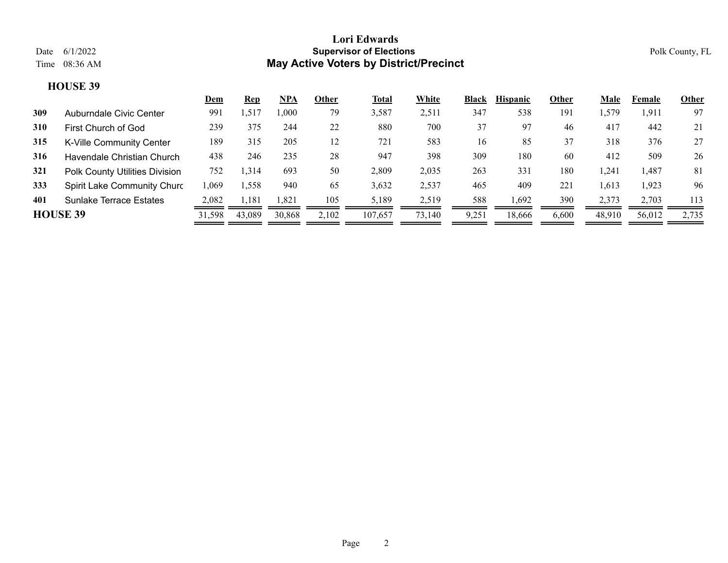|                 |                                | <u>Dem</u> | <u>Rep</u> | <u>NPA</u> | Other | <b>Total</b> | White  | <b>Black</b> | <b>Hispanic</b> | Other | Male   | Female | Other |
|-----------------|--------------------------------|------------|------------|------------|-------|--------------|--------|--------------|-----------------|-------|--------|--------|-------|
| 309             | Auburndale Civic Center        | 991        | 1,517      | .000       | 79    | 3,587        | 2,511  | 347          | 538             | 191   | .579   | 1,911  | 97    |
| <b>310</b>      | First Church of God            | 239        | 375        | 244        | 22    | 880          | 700    | 37           | 97              | 46    | 417    | 442    | 21    |
| 315             | K-Ville Community Center       | 189        | 315        | 205        | 12    | 721          | 583    | 16           | 85              | 37    | 318    | 376    | 27    |
| 316             | Havendale Christian Church     | 438        | 246        | 235        | 28    | 947          | 398    | 309          | 180             | 60    | 412    | 509    | 26    |
| 321             | Polk County Utilities Division | 752        | ,314       | 693        | 50    | 2,809        | 2,035  | 263          | 331             | 180   | ,241   | 1,487  | 81    |
| 333             | Spirit Lake Community Churc    | l.069      | 1,558      | 940        | 65    | 3,632        | 2,537  | 465          | 409             | 221   | ,613   | 1,923  | 96    |
| 401             | <b>Sunlake Terrace Estates</b> | 2.082      | 1.181      | l.821      | 105   | 5,189        | 2,519  | 588          | 1,692           | 390   | 2.373  | 2.703  | 113   |
| <b>HOUSE 39</b> |                                | 31,598     | 43,089     | 30,868     | 2,102 | 107,657      | 73,140 | 9,251        | 18,666          | 6,600 | 48,910 | 56,012 | 2,735 |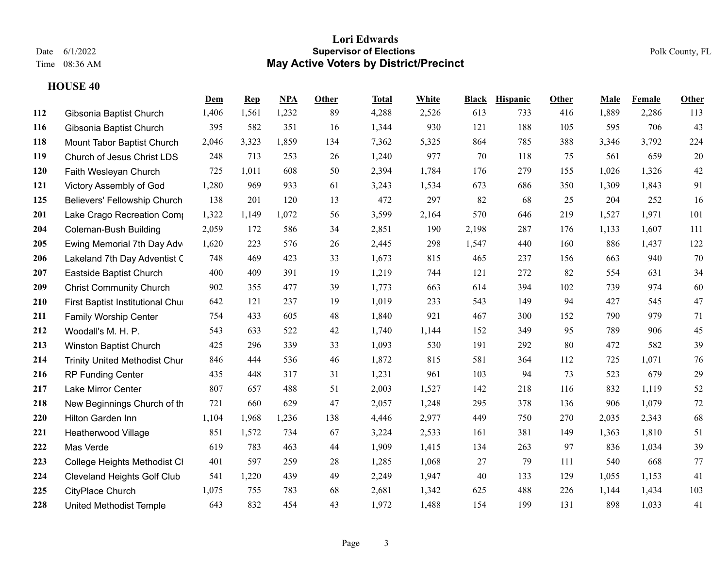|     |                                      | Dem   | <b>Rep</b> | NPA   | Other | Total | White | <b>Black</b> | <b>Hispanic</b> | Other | Male  | Female | <b>Other</b> |
|-----|--------------------------------------|-------|------------|-------|-------|-------|-------|--------------|-----------------|-------|-------|--------|--------------|
| 112 | Gibsonia Baptist Church              | 1,406 | 1,561      | 1,232 | 89    | 4,288 | 2,526 | 613          | 733             | 416   | 1,889 | 2,286  | 113          |
| 116 | Gibsonia Baptist Church              | 395   | 582        | 351   | 16    | 1,344 | 930   | 121          | 188             | 105   | 595   | 706    | 43           |
| 118 | Mount Tabor Baptist Church           | 2,046 | 3,323      | 1,859 | 134   | 7,362 | 5,325 | 864          | 785             | 388   | 3,346 | 3,792  | 224          |
| 119 | Church of Jesus Christ LDS           | 248   | 713        | 253   | 26    | 1,240 | 977   | 70           | 118             | 75    | 561   | 659    | 20           |
| 120 | Faith Wesleyan Church                | 725   | 1,011      | 608   | 50    | 2,394 | 1,784 | 176          | 279             | 155   | 1,026 | 1,326  | $42\,$       |
| 121 | Victory Assembly of God              | 1,280 | 969        | 933   | 61    | 3,243 | 1,534 | 673          | 686             | 350   | 1,309 | 1,843  | 91           |
| 125 | Believers' Fellowship Church         | 138   | 201        | 120   | 13    | 472   | 297   | 82           | 68              | 25    | 204   | 252    | 16           |
| 201 | Lake Crago Recreation Comp           | 1,322 | 1,149      | 1,072 | 56    | 3,599 | 2,164 | 570          | 646             | 219   | 1,527 | 1,971  | 101          |
| 204 | <b>Coleman-Bush Building</b>         | 2,059 | 172        | 586   | 34    | 2,851 | 190   | 2,198        | 287             | 176   | 1,133 | 1,607  | 111          |
| 205 | Ewing Memorial 7th Day Adv           | 1,620 | 223        | 576   | 26    | 2,445 | 298   | 1,547        | 440             | 160   | 886   | 1,437  | 122          |
| 206 | Lakeland 7th Day Adventist C         | 748   | 469        | 423   | 33    | 1,673 | 815   | 465          | 237             | 156   | 663   | 940    | 70           |
| 207 | Eastside Baptist Church              | 400   | 409        | 391   | 19    | 1,219 | 744   | 121          | 272             | 82    | 554   | 631    | 34           |
| 209 | <b>Christ Community Church</b>       | 902   | 355        | 477   | 39    | 1,773 | 663   | 614          | 394             | 102   | 739   | 974    | 60           |
| 210 | First Baptist Institutional Chur     | 642   | 121        | 237   | 19    | 1,019 | 233   | 543          | 149             | 94    | 427   | 545    | 47           |
| 211 | <b>Family Worship Center</b>         | 754   | 433        | 605   | 48    | 1,840 | 921   | 467          | 300             | 152   | 790   | 979    | 71           |
| 212 | Woodall's M. H. P.                   | 543   | 633        | 522   | 42    | 1,740 | 1,144 | 152          | 349             | 95    | 789   | 906    | 45           |
| 213 | Winston Baptist Church               | 425   | 296        | 339   | 33    | 1,093 | 530   | 191          | 292             | 80    | 472   | 582    | 39           |
| 214 | <b>Trinity United Methodist Chur</b> | 846   | 444        | 536   | 46    | 1,872 | 815   | 581          | 364             | 112   | 725   | 1,071  | $76\,$       |
| 216 | <b>RP Funding Center</b>             | 435   | 448        | 317   | 31    | 1,231 | 961   | 103          | 94              | 73    | 523   | 679    | 29           |
| 217 | Lake Mirror Center                   | 807   | 657        | 488   | 51    | 2,003 | 1,527 | 142          | 218             | 116   | 832   | 1,119  | 52           |
| 218 | New Beginnings Church of th          | 721   | 660        | 629   | 47    | 2,057 | 1,248 | 295          | 378             | 136   | 906   | 1,079  | $72\,$       |
| 220 | Hilton Garden Inn                    | 1,104 | 1,968      | 1,236 | 138   | 4,446 | 2,977 | 449          | 750             | 270   | 2,035 | 2,343  | 68           |
| 221 | Heatherwood Village                  | 851   | 1,572      | 734   | 67    | 3,224 | 2,533 | 161          | 381             | 149   | 1,363 | 1,810  | 51           |
| 222 | Mas Verde                            | 619   | 783        | 463   | 44    | 1,909 | 1,415 | 134          | 263             | 97    | 836   | 1,034  | 39           |
| 223 | College Heights Methodist CI         | 401   | 597        | 259   | 28    | 1,285 | 1,068 | 27           | 79              | 111   | 540   | 668    | 77           |
| 224 | <b>Cleveland Heights Golf Club</b>   | 541   | 1,220      | 439   | 49    | 2,249 | 1,947 | 40           | 133             | 129   | 1,055 | 1,153  | 41           |
| 225 | CityPlace Church                     | 1,075 | 755        | 783   | 68    | 2,681 | 1,342 | 625          | 488             | 226   | 1,144 | 1,434  | 103          |
| 228 | <b>United Methodist Temple</b>       | 643   | 832        | 454   | 43    | 1,972 | 1,488 | 154          | 199             | 131   | 898   | 1,033  | 41           |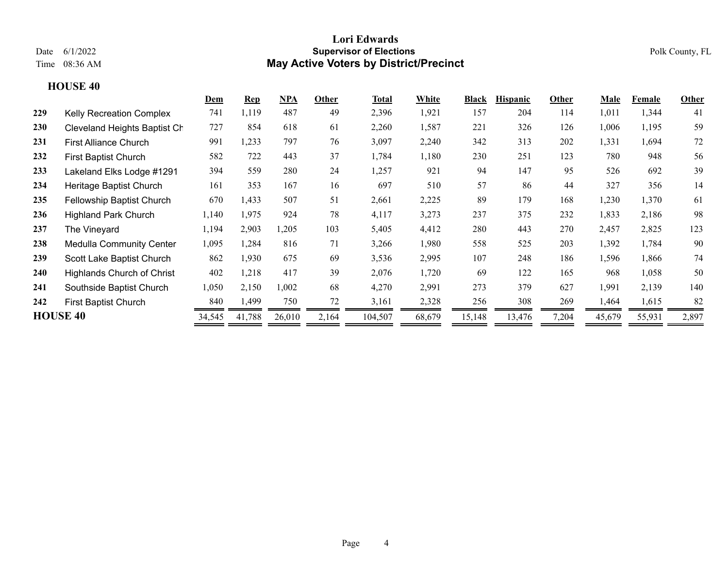|                 |                                   | Dem    | $\mathbf{Rep}$ | <b>NPA</b> | Other | Total   | White  | Black  | <b>Hispanic</b> | Other | Male   | Female | Other |
|-----------------|-----------------------------------|--------|----------------|------------|-------|---------|--------|--------|-----------------|-------|--------|--------|-------|
| 229             | <b>Kelly Recreation Complex</b>   | 741    | 1,119          | 487        | 49    | 2,396   | 1,921  | 157    | 204             | 114   | 1,011  | 1,344  | 41    |
| 230             | Cleveland Heights Baptist Ch      | 727    | 854            | 618        | 61    | 2,260   | 1,587  | 221    | 326             | 126   | 1,006  | 1,195  | 59    |
| 231             | <b>First Alliance Church</b>      | 991    | 1,233          | 797        | 76    | 3,097   | 2,240  | 342    | 313             | 202   | 1,331  | 1,694  | 72    |
| 232             | <b>First Baptist Church</b>       | 582    | 722            | 443        | 37    | 1,784   | 1,180  | 230    | 251             | 123   | 780    | 948    | 56    |
| 233             | Lakeland Elks Lodge #1291         | 394    | 559            | 280        | 24    | 1,257   | 921    | 94     | 147             | 95    | 526    | 692    | 39    |
| 234             | Heritage Baptist Church           | 161    | 353            | 167        | 16    | 697     | 510    | 57     | 86              | 44    | 327    | 356    | 14    |
| 235             | <b>Fellowship Baptist Church</b>  | 670    | 1,433          | 507        | 51    | 2,661   | 2,225  | 89     | 179             | 168   | 1,230  | 1,370  | 61    |
| 236             | <b>Highland Park Church</b>       | 1,140  | 1,975          | 924        | 78    | 4,117   | 3,273  | 237    | 375             | 232   | 1,833  | 2,186  | 98    |
| 237             | The Vineyard                      | 1,194  | 2,903          | 1,205      | 103   | 5,405   | 4,412  | 280    | 443             | 270   | 2,457  | 2,825  | 123   |
| 238             | <b>Medulla Community Center</b>   | 1,095  | 1,284          | 816        | 71    | 3,266   | 1,980  | 558    | 525             | 203   | 1,392  | 1,784  | 90    |
| 239             | Scott Lake Baptist Church         | 862    | 1,930          | 675        | 69    | 3,536   | 2,995  | 107    | 248             | 186   | 1,596  | 1,866  | 74    |
| 240             | <b>Highlands Church of Christ</b> | 402    | 1,218          | 417        | 39    | 2,076   | 1,720  | 69     | 122             | 165   | 968    | 1,058  | 50    |
| 241             | Southside Baptist Church          | 1,050  | 2,150          | 1,002      | 68    | 4,270   | 2,991  | 273    | 379             | 627   | 1,991  | 2,139  | 140   |
| 242             | First Baptist Church              | 840    | 1,499          | 750        | 72    | 3,161   | 2,328  | 256    | 308             | 269   | 1,464  | 1,615  | 82    |
| <b>HOUSE 40</b> |                                   | 34,545 | 41,788         | 26,010     | 2,164 | 104,507 | 68,679 | 15,148 | 13,476          | 7,204 | 45,679 | 55,931 | 2,897 |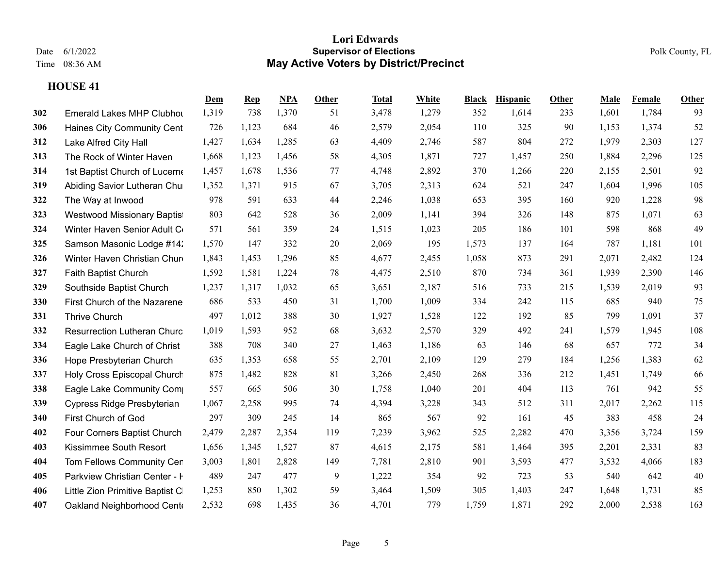|     |                                    | Dem   | $\mathbf{Rep}$ | NPA   | Other | <b>Total</b> | White | <b>Black</b> | <b>Hispanic</b> | Other | Male  | Female | <b>Other</b> |
|-----|------------------------------------|-------|----------------|-------|-------|--------------|-------|--------------|-----------------|-------|-------|--------|--------------|
| 302 | <b>Emerald Lakes MHP Clubhot</b>   | 1,319 | 738            | 1,370 | 51    | 3,478        | 1,279 | 352          | 1,614           | 233   | 1,601 | 1,784  | 93           |
| 306 | Haines City Community Cent         | 726   | 1,123          | 684   | 46    | 2,579        | 2,054 | 110          | 325             | 90    | 1,153 | 1,374  | 52           |
| 312 | Lake Alfred City Hall              | 1,427 | 1,634          | 1,285 | 63    | 4,409        | 2,746 | 587          | 804             | 272   | 1,979 | 2,303  | 127          |
| 313 | The Rock of Winter Haven           | 1,668 | 1,123          | 1,456 | 58    | 4,305        | 1,871 | 727          | 1,457           | 250   | 1,884 | 2,296  | 125          |
| 314 | 1st Baptist Church of Lucerne      | 1,457 | 1,678          | 1,536 | 77    | 4,748        | 2,892 | 370          | 1,266           | 220   | 2,155 | 2,501  | 92           |
| 319 | Abiding Savior Lutheran Chu        | 1,352 | 1,371          | 915   | 67    | 3,705        | 2,313 | 624          | 521             | 247   | 1,604 | 1,996  | 105          |
| 322 | The Way at Inwood                  | 978   | 591            | 633   | 44    | 2,246        | 1,038 | 653          | 395             | 160   | 920   | 1,228  | 98           |
| 323 | Westwood Missionary Baptis         | 803   | 642            | 528   | 36    | 2,009        | 1,141 | 394          | 326             | 148   | 875   | 1,071  | 63           |
| 324 | Winter Haven Senior Adult C        | 571   | 561            | 359   | 24    | 1,515        | 1,023 | 205          | 186             | 101   | 598   | 868    | 49           |
| 325 | Samson Masonic Lodge #14:          | 1,570 | 147            | 332   | 20    | 2,069        | 195   | 1,573        | 137             | 164   | 787   | 1,181  | 101          |
| 326 | Winter Haven Christian Chur        | 1,843 | 1,453          | 1,296 | 85    | 4,677        | 2,455 | 1,058        | 873             | 291   | 2,071 | 2,482  | 124          |
| 327 | Faith Baptist Church               | 1,592 | 1,581          | 1,224 | 78    | 4,475        | 2,510 | 870          | 734             | 361   | 1,939 | 2,390  | 146          |
| 329 | Southside Baptist Church           | 1,237 | 1,317          | 1,032 | 65    | 3,651        | 2,187 | 516          | 733             | 215   | 1,539 | 2,019  | 93           |
| 330 | First Church of the Nazarene       | 686   | 533            | 450   | 31    | 1,700        | 1,009 | 334          | 242             | 115   | 685   | 940    | 75           |
| 331 | Thrive Church                      | 497   | 1,012          | 388   | 30    | 1,927        | 1,528 | 122          | 192             | 85    | 799   | 1,091  | 37           |
| 332 | <b>Resurrection Lutheran Churc</b> | 1,019 | 1,593          | 952   | 68    | 3,632        | 2,570 | 329          | 492             | 241   | 1,579 | 1,945  | 108          |
| 334 | Eagle Lake Church of Christ        | 388   | 708            | 340   | 27    | 1,463        | 1,186 | 63           | 146             | 68    | 657   | 772    | 34           |
| 336 | Hope Presbyterian Church           | 635   | 1,353          | 658   | 55    | 2,701        | 2,109 | 129          | 279             | 184   | 1,256 | 1,383  | 62           |
| 337 | Holy Cross Episcopal Church        | 875   | 1,482          | 828   | 81    | 3,266        | 2,450 | 268          | 336             | 212   | 1,451 | 1,749  | 66           |
| 338 | Eagle Lake Community Com           | 557   | 665            | 506   | 30    | 1,758        | 1,040 | 201          | 404             | 113   | 761   | 942    | 55           |
| 339 | Cypress Ridge Presbyterian         | 1,067 | 2,258          | 995   | 74    | 4,394        | 3,228 | 343          | 512             | 311   | 2,017 | 2,262  | 115          |
| 340 | First Church of God                | 297   | 309            | 245   | 14    | 865          | 567   | 92           | 161             | 45    | 383   | 458    | 24           |
| 402 | Four Corners Baptist Church        | 2,479 | 2,287          | 2,354 | 119   | 7,239        | 3,962 | 525          | 2,282           | 470   | 3,356 | 3,724  | 159          |
| 403 | Kissimmee South Resort             | 1,656 | 1,345          | 1,527 | 87    | 4,615        | 2,175 | 581          | 1,464           | 395   | 2,201 | 2,331  | 83           |
| 404 | Tom Fellows Community Cer          | 3,003 | 1,801          | 2,828 | 149   | 7,781        | 2,810 | 901          | 3,593           | 477   | 3,532 | 4,066  | 183          |
| 405 | Parkview Christian Center - I      | 489   | 247            | 477   | 9     | 1,222        | 354   | 92           | 723             | 53    | 540   | 642    | 40           |
| 406 | Little Zion Primitive Baptist C    | 1,253 | 850            | 1,302 | 59    | 3,464        | 1,509 | 305          | 1,403           | 247   | 1,648 | 1,731  | 85           |
| 407 | Oakland Neighborhood Cent          | 2,532 | 698            | 1,435 | 36    | 4,701        | 779   | 1,759        | 1,871           | 292   | 2,000 | 2,538  | 163          |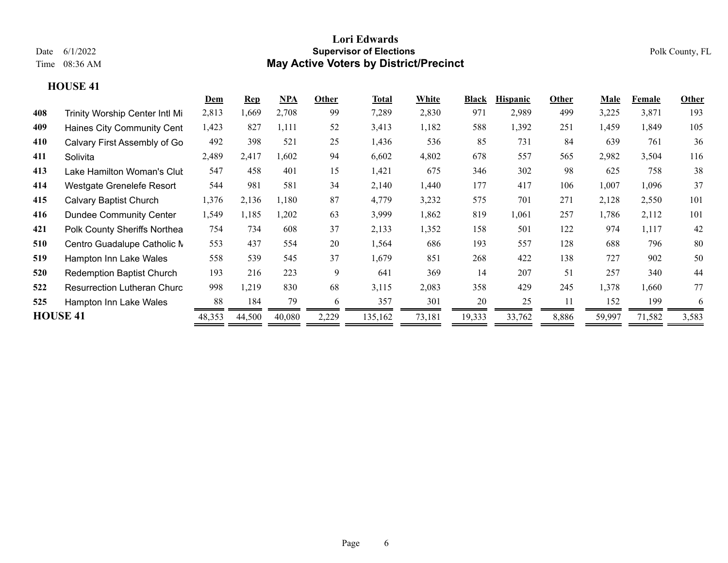|     |                                    | Dem    | $\mathbf{Rep}$ | <b>NPA</b> | Other | Total   | White  | <b>Black</b> | <b>Hispanic</b> | Other | Male   | Female | Other |
|-----|------------------------------------|--------|----------------|------------|-------|---------|--------|--------------|-----------------|-------|--------|--------|-------|
| 408 | Trinity Worship Center Intl Mi     | 2,813  | ,669           | 2,708      | 99    | 7,289   | 2,830  | 971          | 2,989           | 499   | 3,225  | 3,871  | 193   |
| 409 | Haines City Community Cent         | 1,423  | 827            | 1,111      | 52    | 3,413   | 1,182  | 588          | 1,392           | 251   | 1,459  | 1,849  | 105   |
| 410 | Calvary First Assembly of Go       | 492    | 398            | 521        | 25    | 1,436   | 536    | 85           | 731             | 84    | 639    | 761    | 36    |
| 411 | Solivita                           | 2,489  | 2,417          | 1,602      | 94    | 6,602   | 4,802  | 678          | 557             | 565   | 2,982  | 3,504  | 116   |
| 413 | Lake Hamilton Woman's Clut         | 547    | 458            | 401        | 15    | 1,421   | 675    | 346          | 302             | 98    | 625    | 758    | 38    |
| 414 | Westgate Grenelefe Resort          | 544    | 981            | 581        | 34    | 2,140   | 1,440  | 177          | 417             | 106   | 1,007  | 1,096  | 37    |
| 415 | <b>Calvary Baptist Church</b>      | 1,376  | 2,136          | 1,180      | 87    | 4,779   | 3,232  | 575          | 701             | 271   | 2,128  | 2,550  | 101   |
| 416 | <b>Dundee Community Center</b>     | 1,549  | 1,185          | 1,202      | 63    | 3,999   | 1,862  | 819          | 1,061           | 257   | 1,786  | 2,112  | 101   |
| 421 | Polk County Sheriffs Northea       | 754    | 734            | 608        | 37    | 2,133   | 1,352  | 158          | 501             | 122   | 974    | 1,117  | 42    |
| 510 | Centro Guadalupe Catholic N        | 553    | 437            | 554        | 20    | 1,564   | 686    | 193          | 557             | 128   | 688    | 796    | 80    |
| 519 | Hampton Inn Lake Wales             | 558    | 539            | 545        | 37    | 1,679   | 851    | 268          | 422             | 138   | 727    | 902    | 50    |
| 520 | <b>Redemption Baptist Church</b>   | 193    | 216            | 223        | 9     | 641     | 369    | 14           | 207             | 51    | 257    | 340    | 44    |
| 522 | <b>Resurrection Lutheran Churc</b> | 998    | 1,219          | 830        | 68    | 3,115   | 2,083  | 358          | 429             | 245   | 1,378  | 1,660  | 77    |
| 525 | Hampton Inn Lake Wales             | 88     | 184            | 79         | 6     | 357     | 301    | 20           | 25              | 11    | 152    | 199    | 6     |
|     | <b>HOUSE 41</b>                    | 48,353 | 44,500         | 40,080     | 2,229 | 135,162 | 73,181 | 19,333       | 33,762          | 8,886 | 59,997 | 71,582 | 3,583 |
|     |                                    |        |                |            |       |         |        |              |                 |       |        |        |       |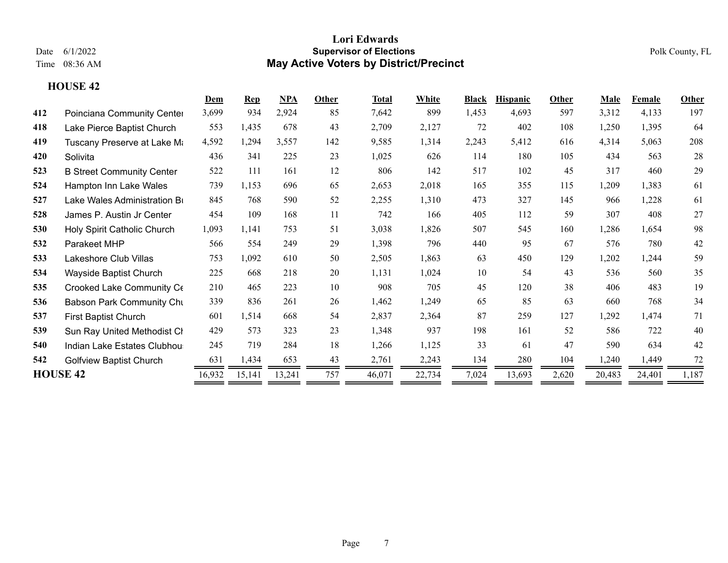|     |                                  | Dem    | <b>Rep</b> | <b>NPA</b> | Other | Total  | White  | <b>Black</b> | <b>Hispanic</b> | Other | Male   | Female | Other |
|-----|----------------------------------|--------|------------|------------|-------|--------|--------|--------------|-----------------|-------|--------|--------|-------|
| 412 | Poinciana Community Center       | 3,699  | 934        | 2,924      | 85    | 7,642  | 899    | 1,453        | 4,693           | 597   | 3,312  | 4,133  | 197   |
| 418 | Lake Pierce Baptist Church       | 553    | 1,435      | 678        | 43    | 2,709  | 2,127  | 72           | 402             | 108   | 1,250  | 1,395  | 64    |
| 419 | Tuscany Preserve at Lake Mi      | 4,592  | 1,294      | 3,557      | 142   | 9,585  | 1,314  | 2,243        | 5,412           | 616   | 4,314  | 5,063  | 208   |
| 420 | Solivita                         | 436    | 341        | 225        | 23    | 1,025  | 626    | 114          | 180             | 105   | 434    | 563    | 28    |
| 523 | <b>B Street Community Center</b> | 522    | 111        | 161        | 12    | 806    | 142    | 517          | 102             | 45    | 317    | 460    | 29    |
| 524 | Hampton Inn Lake Wales           | 739    | 1,153      | 696        | 65    | 2,653  | 2,018  | 165          | 355             | 115   | 1,209  | 1,383  | 61    |
| 527 | Lake Wales Administration Br     | 845    | 768        | 590        | 52    | 2,255  | 1,310  | 473          | 327             | 145   | 966    | 1,228  | 61    |
| 528 | James P. Austin Jr Center        | 454    | 109        | 168        | 11    | 742    | 166    | 405          | 112             | 59    | 307    | 408    | 27    |
| 530 | Holy Spirit Catholic Church      | 1,093  | 1,141      | 753        | 51    | 3,038  | 1,826  | 507          | 545             | 160   | 1,286  | 1,654  | 98    |
| 532 | Parakeet MHP                     | 566    | 554        | 249        | 29    | 1,398  | 796    | 440          | 95              | 67    | 576    | 780    | 42    |
| 533 | Lakeshore Club Villas            | 753    | 1,092      | 610        | 50    | 2,505  | 1,863  | 63           | 450             | 129   | 1,202  | 1,244  | 59    |
| 534 | Wayside Baptist Church           | 225    | 668        | 218        | 20    | 1,131  | 1,024  | 10           | 54              | 43    | 536    | 560    | 35    |
| 535 | Crooked Lake Community Ce        | 210    | 465        | 223        | 10    | 908    | 705    | 45           | 120             | 38    | 406    | 483    | 19    |
| 536 | <b>Babson Park Community Chu</b> | 339    | 836        | 261        | 26    | 1,462  | 1,249  | 65           | 85              | 63    | 660    | 768    | 34    |
| 537 | First Baptist Church             | 601    | 1,514      | 668        | 54    | 2,837  | 2,364  | 87           | 259             | 127   | 1,292  | 1,474  | 71    |
| 539 | Sun Ray United Methodist CI      | 429    | 573        | 323        | 23    | 1,348  | 937    | 198          | 161             | 52    | 586    | 722    | 40    |
| 540 | Indian Lake Estates Clubhou      | 245    | 719        | 284        | 18    | 1,266  | 1,125  | 33           | 61              | 47    | 590    | 634    | 42    |
| 542 | <b>Golfview Baptist Church</b>   | 631    | 1,434      | 653        | 43    | 2,761  | 2,243  | 134          | 280             | 104   | 1,240  | 1,449  | 72    |
|     | <b>HOUSE 42</b>                  | 16,932 | 15,141     | 13,241     | 757   | 46,071 | 22,734 | 7,024        | 13,693          | 2,620 | 20,483 | 24,401 | 1,187 |
|     |                                  |        |            |            |       |        |        |              |                 |       |        |        |       |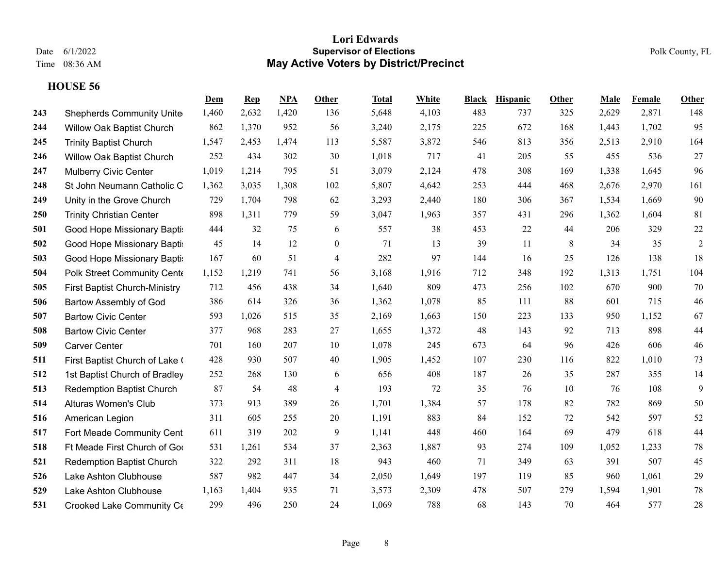|     |                                  | Dem   | <b>Rep</b> | NPA   | Other          | Total | White | <b>Black</b> | <b>Hispanic</b> | Other | Male  | <b>Female</b> | Other          |
|-----|----------------------------------|-------|------------|-------|----------------|-------|-------|--------------|-----------------|-------|-------|---------------|----------------|
| 243 | <b>Shepherds Community Unite</b> | 1,460 | 2,632      | 1,420 | 136            | 5,648 | 4,103 | 483          | 737             | 325   | 2,629 | 2,871         | 148            |
| 244 | Willow Oak Baptist Church        | 862   | 1,370      | 952   | 56             | 3,240 | 2,175 | 225          | 672             | 168   | 1,443 | 1,702         | 95             |
| 245 | <b>Trinity Baptist Church</b>    | 1,547 | 2,453      | 1,474 | 113            | 5,587 | 3,872 | 546          | 813             | 356   | 2,513 | 2,910         | 164            |
| 246 | <b>Willow Oak Baptist Church</b> | 252   | 434        | 302   | 30             | 1,018 | 717   | 41           | 205             | 55    | 455   | 536           | 27             |
| 247 | <b>Mulberry Civic Center</b>     | 1,019 | 1,214      | 795   | 51             | 3,079 | 2,124 | 478          | 308             | 169   | 1,338 | 1,645         | 96             |
| 248 | St John Neumann Catholic C       | 1,362 | 3,035      | 1,308 | 102            | 5,807 | 4,642 | 253          | 444             | 468   | 2,676 | 2,970         | 161            |
| 249 | Unity in the Grove Church        | 729   | 1,704      | 798   | 62             | 3,293 | 2,440 | 180          | 306             | 367   | 1,534 | 1,669         | 90             |
| 250 | <b>Trinity Christian Center</b>  | 898   | 1,311      | 779   | 59             | 3,047 | 1,963 | 357          | 431             | 296   | 1,362 | 1,604         | 81             |
| 501 | Good Hope Missionary Bapti:      | 444   | 32         | 75    | 6              | 557   | 38    | 453          | 22              | 44    | 206   | 329           | 22             |
| 502 | Good Hope Missionary Bapti:      | 45    | 14         | 12    | $\overline{0}$ | 71    | 13    | 39           | 11              | 8     | 34    | 35            | $\overline{2}$ |
| 503 | Good Hope Missionary Bapti:      | 167   | 60         | 51    | $\overline{4}$ | 282   | 97    | 144          | 16              | 25    | 126   | 138           | 18             |
| 504 | Polk Street Community Cente      | 1,152 | 1,219      | 741   | 56             | 3,168 | 1,916 | 712          | 348             | 192   | 1,313 | 1,751         | 104            |
| 505 | First Baptist Church-Ministry    | 712   | 456        | 438   | 34             | 1,640 | 809   | 473          | 256             | 102   | 670   | 900           | 70             |
| 506 | Bartow Assembly of God           | 386   | 614        | 326   | 36             | 1,362 | 1,078 | 85           | 111             | 88    | 601   | 715           | 46             |
| 507 | <b>Bartow Civic Center</b>       | 593   | 1,026      | 515   | 35             | 2,169 | 1,663 | 150          | 223             | 133   | 950   | 1,152         | 67             |
| 508 | <b>Bartow Civic Center</b>       | 377   | 968        | 283   | 27             | 1,655 | 1,372 | 48           | 143             | 92    | 713   | 898           | 44             |
| 509 | <b>Carver Center</b>             | 701   | 160        | 207   | 10             | 1,078 | 245   | 673          | 64              | 96    | 426   | 606           | 46             |
| 511 | First Baptist Church of Lake (   | 428   | 930        | 507   | 40             | 1,905 | 1,452 | 107          | 230             | 116   | 822   | 1,010         | 73             |
| 512 | 1st Baptist Church of Bradley    | 252   | 268        | 130   | 6              | 656   | 408   | 187          | 26              | 35    | 287   | 355           | 14             |
| 513 | <b>Redemption Baptist Church</b> | 87    | 54         | 48    | $\overline{4}$ | 193   | 72    | 35           | 76              | 10    | 76    | 108           | 9              |
| 514 | Alturas Women's Club             | 373   | 913        | 389   | 26             | 1,701 | 1,384 | 57           | 178             | 82    | 782   | 869           | 50             |
| 516 | American Legion                  | 311   | 605        | 255   | 20             | 1,191 | 883   | 84           | 152             | 72    | 542   | 597           | 52             |
| 517 | Fort Meade Community Cent        | 611   | 319        | 202   | 9              | 1,141 | 448   | 460          | 164             | 69    | 479   | 618           | $44$           |
| 518 | Ft Meade First Church of Goo     | 531   | 1,261      | 534   | 37             | 2,363 | 1,887 | 93           | 274             | 109   | 1,052 | 1,233         | $78\,$         |
| 521 | <b>Redemption Baptist Church</b> | 322   | 292        | 311   | 18             | 943   | 460   | 71           | 349             | 63    | 391   | 507           | 45             |
| 526 | Lake Ashton Clubhouse            | 587   | 982        | 447   | 34             | 2,050 | 1,649 | 197          | 119             | 85    | 960   | 1,061         | 29             |
| 529 | Lake Ashton Clubhouse            | 1,163 | 1,404      | 935   | 71             | 3,573 | 2,309 | 478          | 507             | 279   | 1,594 | 1,901         | $78\,$         |
| 531 | Crooked Lake Community Ce        | 299   | 496        | 250   | 24             | 1,069 | 788   | 68           | 143             | 70    | 464   | 577           | $28\,$         |